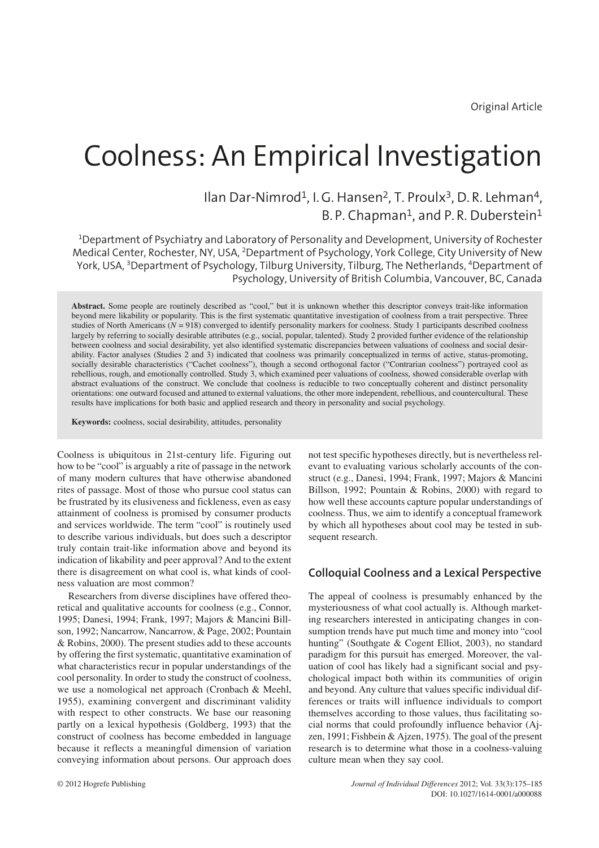# Coolness: An Empirical Investigation

# Ilan Dar-Nimrod<sup>1</sup>, I. G. Hansen<sup>2</sup>, T. Proulx<sup>3</sup>, D. R. Lehman<sup>4</sup>, B. P. Chapman<sup>1</sup>, and P. R. Duberstein<sup>1</sup>

 $^{\rm 1}$ Department of Psychiatry and Laboratory of Personality and Development, University of Rochester Medical Center, Rochester, NY, USA, <sup>2</sup>Department of Psychology, York College, City University of New York, USA, <sup>3</sup>Department of Psychology, Tilburg University, Tilburg, The Netherlands, <sup>4</sup>Department of Psychology, University of British Columbia, Vancouver, BC, Canada

**Abstract.** Some people are routinely described as "cool," but it is unknown whether this descriptor conveys trait-like information beyond mere likability or popularity. This is the first systematic quantitative investigation of coolness from a trait perspective. Three studies of North Americans ( $N = 918$ ) converged to identify personality markers for coolness. Study 1 participants described coolness largely by referring to socially desirable attributes (e.g., social, popular, talented). Study 2 provided further evidence of the relationship between coolness and social desirability, yet also identified systematic discrepancies between valuations of coolness and social desirability. Factor analyses (Studies 2 and 3) indicated that coolness was primarily conceptualized in terms of active, status-promoting, socially desirable characteristics ("Cachet coolness"), though a second orthogonal factor ("Contrarian coolness") portrayed cool as rebellious, rough, and emotionally controlled. Study 3, which examined peer valuations of coolness, showed considerable overlap with abstract evaluations of the construct. We conclude that coolness is reducible to two conceptually coherent and distinct personality orientations: one outward focused and attuned to external valuations, the other more independent, rebellious, and countercultural. These results have implications for both basic and applied research and theory in personality and social psychology.

**Keywords:** coolness, social desirability, attitudes, personality

Coolness is ubiquitous in 21st-century life. Figuring out how to be "cool" is arguably a rite of passage in the network of many modern cultures that have otherwise abandoned rites of passage. Most of those who pursue cool status can be frustrated by its elusiveness and fickleness, even as easy attainment of coolness is promised by consumer products and services worldwide. The term "cool" is routinely used to describe various individuals, but does such a descriptor truly contain trait-like information above and beyond its indication of likability and peer approval? And to the extent there is disagreement on what cool is, what kinds of coolness valuation are most common?

Researchers from diverse disciplines have offered theoretical and qualitative accounts for coolness (e.g., Connor, 1995; Danesi, 1994; Frank, 1997; Majors & Mancini Billson, 1992; Nancarrow, Nancarrow, & Page, 2002; Pountain & Robins, 2000). The present studies add to these accounts by offering the first systematic, quantitative examination of what characteristics recur in popular understandings of the cool personality. In order to study the construct of coolness, we use a nomological net approach (Cronbach & Meehl, 1955), examining convergent and discriminant validity with respect to other constructs. We base our reasoning partly on a lexical hypothesis (Goldberg, 1993) that the construct of coolness has become embedded in language because it reflects a meaningful dimension of variation conveying information about persons. Our approach does evant to evaluating various scholarly accounts of the construct (e.g., Danesi, 1994; Frank, 1997; Majors & Mancini Billson, 1992; Pountain & Robins, 2000) with regard to how well these accounts capture popular understandings of coolness. Thus, we aim to identify a conceptual framework by which all hypotheses about cool may be tested in subsequent research.

not test specific hypotheses directly, but is nevertheless rel-

# **Colloquial Coolness and a Lexical Perspective**

The appeal of coolness is presumably enhanced by the mysteriousness of what cool actually is. Although marketing researchers interested in anticipating changes in consumption trends have put much time and money into "cool hunting" (Southgate & Cogent Elliot, 2003), no standard paradigm for this pursuit has emerged. Moreover, the valuation of cool has likely had a significant social and psychological impact both within its communities of origin and beyond. Any culture that values specific individual differences or traits will influence individuals to comport themselves according to those values, thus facilitating social norms that could profoundly influence behavior (Ajzen, 1991; Fishbein & Ajzen, 1975). The goal of the present research is to determine what those in a coolness-valuing culture mean when they say cool.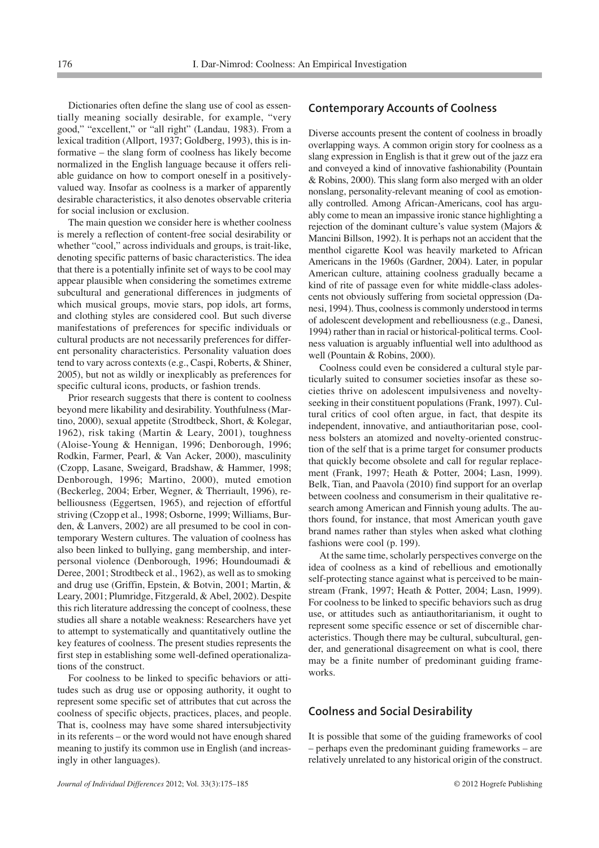Dictionaries often define the slang use of cool as essentially meaning socially desirable, for example, "very good," "excellent," or "all right" (Landau, 1983). From a lexical tradition (Allport, 1937; Goldberg, 1993), this is informative – the slang form of coolness has likely become normalized in the English language because it offers reliable guidance on how to comport oneself in a positivelyvalued way. Insofar as coolness is a marker of apparently desirable characteristics, it also denotes observable criteria for social inclusion or exclusion.

The main question we consider here is whether coolness is merely a reflection of content-free social desirability or whether "cool," across individuals and groups, is trait-like, denoting specific patterns of basic characteristics. The idea that there is a potentially infinite set of ways to be cool may appear plausible when considering the sometimes extreme subcultural and generational differences in judgments of which musical groups, movie stars, pop idols, art forms, and clothing styles are considered cool. But such diverse manifestations of preferences for specific individuals or cultural products are not necessarily preferences for different personality characteristics. Personality valuation does tend to vary across contexts (e.g., Caspi, Roberts, & Shiner, 2005), but not as wildly or inexplicably as preferences for specific cultural icons, products, or fashion trends.

Prior research suggests that there is content to coolness beyond mere likability and desirability. Youthfulness (Martino, 2000), sexual appetite (Strodtbeck, Short, & Kolegar, 1962), risk taking (Martin & Leary, 2001), toughness (Aloise-Young & Hennigan, 1996; Denborough, 1996; Rodkin, Farmer, Pearl, & Van Acker, 2000), masculinity (Czopp, Lasane, Sweigard, Bradshaw, & Hammer, 1998; Denborough, 1996; Martino, 2000), muted emotion (Beckerleg, 2004; Erber, Wegner, & Therriault, 1996), rebelliousness (Eggertsen, 1965), and rejection of effortful striving (Czopp et al., 1998; Osborne, 1999; Williams, Burden, & Lanvers, 2002) are all presumed to be cool in contemporary Western cultures. The valuation of coolness has also been linked to bullying, gang membership, and interpersonal violence (Denborough, 1996; Houndoumadi & Deree, 2001; Strodtbeck et al., 1962), as well as to smoking and drug use (Griffin, Epstein, & Botvin, 2001; Martin, & Leary, 2001; Plumridge, Fitzgerald, & Abel, 2002). Despite this rich literature addressing the concept of coolness, these studies all share a notable weakness: Researchers have yet to attempt to systematically and quantitatively outline the key features of coolness. The present studies represents the first step in establishing some well-defined operationalizations of the construct.

For coolness to be linked to specific behaviors or attitudes such as drug use or opposing authority, it ought to represent some specific set of attributes that cut across the coolness of specific objects, practices, places, and people. That is, coolness may have some shared intersubjectivity in its referents – or the word would not have enough shared meaning to justify its common use in English (and increasingly in other languages).

# **Contemporary Accounts of Coolness**

Diverse accounts present the content of coolness in broadly overlapping ways. A common origin story for coolness as a slang expression in English is that it grew out of the jazz era and conveyed a kind of innovative fashionability (Pountain & Robins, 2000). This slang form also merged with an older nonslang, personality-relevant meaning of cool as emotionally controlled. Among African-Americans, cool has arguably come to mean an impassive ironic stance highlighting a rejection of the dominant culture's value system (Majors & Mancini Billson, 1992). It is perhaps not an accident that the menthol cigarette Kool was heavily marketed to African Americans in the 1960s (Gardner, 2004). Later, in popular American culture, attaining coolness gradually became a kind of rite of passage even for white middle-class adolescents not obviously suffering from societal oppression (Danesi, 1994). Thus, coolness is commonly understood in terms of adolescent development and rebelliousness (e.g., Danesi, 1994) rather than in racial or historical-political terms. Coolness valuation is arguably influential well into adulthood as well (Pountain & Robins, 2000).

Coolness could even be considered a cultural style particularly suited to consumer societies insofar as these societies thrive on adolescent impulsiveness and noveltyseeking in their constituent populations (Frank, 1997). Cultural critics of cool often argue, in fact, that despite its independent, innovative, and antiauthoritarian pose, coolness bolsters an atomized and novelty-oriented construction of the self that is a prime target for consumer products that quickly become obsolete and call for regular replacement (Frank, 1997; Heath & Potter, 2004; Lasn, 1999). Belk, Tian, and Paavola (2010) find support for an overlap between coolness and consumerism in their qualitative research among American and Finnish young adults. The authors found, for instance, that most American youth gave brand names rather than styles when asked what clothing fashions were cool (p. 199).

At the same time, scholarly perspectives converge on the idea of coolness as a kind of rebellious and emotionally self-protecting stance against what is perceived to be mainstream (Frank, 1997; Heath & Potter, 2004; Lasn, 1999). For coolness to be linked to specific behaviors such as drug use, or attitudes such as antiauthoritarianism, it ought to represent some specific essence or set of discernible characteristics. Though there may be cultural, subcultural, gender, and generational disagreement on what is cool, there may be a finite number of predominant guiding frameworks.

#### **Coolness and Social Desirability**

It is possible that some of the guiding frameworks of cool – perhaps even the predominant guiding frameworks – are relatively unrelated to any historical origin of the construct.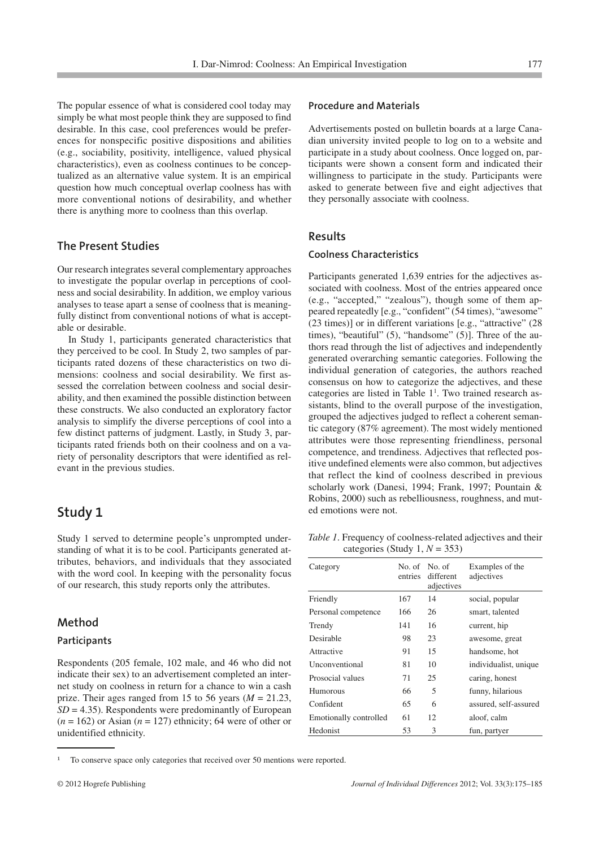The popular essence of what is considered cool today may simply be what most people think they are supposed to find desirable. In this case, cool preferences would be preferences for nonspecific positive dispositions and abilities (e.g., sociability, positivity, intelligence, valued physical characteristics), even as coolness continues to be conceptualized as an alternative value system. It is an empirical question how much conceptual overlap coolness has with more conventional notions of desirability, and whether there is anything more to coolness than this overlap.

# **The Present Studies**

Our research integrates several complementary approaches to investigate the popular overlap in perceptions of coolness and social desirability. In addition, we employ various analyses to tease apart a sense of coolness that is meaningfully distinct from conventional notions of what is acceptable or desirable.

In Study 1, participants generated characteristics that they perceived to be cool. In Study 2, two samples of participants rated dozens of these characteristics on two dimensions: coolness and social desirability. We first assessed the correlation between coolness and social desirability, and then examined the possible distinction between these constructs. We also conducted an exploratory factor analysis to simplify the diverse perceptions of cool into a few distinct patterns of judgment. Lastly, in Study 3, participants rated friends both on their coolness and on a variety of personality descriptors that were identified as relevant in the previous studies.

# **Study 1**

Study 1 served to determine people's unprompted understanding of what it is to be cool. Participants generated attributes, behaviors, and individuals that they associated with the word cool. In keeping with the personality focus of our research, this study reports only the attributes.

## **Method**

#### **Participants**

Respondents (205 female, 102 male, and 46 who did not indicate their sex) to an advertisement completed an internet study on coolness in return for a chance to win a cash prize. Their ages ranged from 15 to 56 years (*M* = 21.23,  $SD = 4.35$ ). Respondents were predominantly of European  $(n = 162)$  or Asian  $(n = 127)$  ethnicity; 64 were of other or unidentified ethnicity.

#### **Procedure and Materials**

Advertisements posted on bulletin boards at a large Canadian university invited people to log on to a website and participate in a study about coolness. Once logged on, participants were shown a consent form and indicated their willingness to participate in the study. Participants were asked to generate between five and eight adjectives that they personally associate with coolness.

## **Results**

#### **Coolness Characteristics**

Participants generated 1,639 entries for the adjectives associated with coolness. Most of the entries appeared once (e.g., "accepted," "zealous"), though some of them appeared repeatedly [e.g., "confident" (54 times), "awesome" (23 times)] or in different variations [e.g., "attractive" (28 times), "beautiful" (5), "handsome" (5)]. Three of the authors read through the list of adjectives and independently generated overarching semantic categories. Following the individual generation of categories, the authors reached consensus on how to categorize the adjectives, and these categories are listed in Table  $1<sup>1</sup>$ . Two trained research assistants, blind to the overall purpose of the investigation, grouped the adjectives judged to reflect a coherent semantic category (87% agreement). The most widely mentioned attributes were those representing friendliness, personal competence, and trendiness. Adjectives that reflected positive undefined elements were also common, but adjectives that reflect the kind of coolness described in previous scholarly work (Danesi, 1994; Frank, 1997; Pountain & Robins, 2000) such as rebelliousness, roughness, and muted emotions were not.

*Table 1*. Frequency of coolness-related adjectives and their categories (Study 1, *N* = 353)

| Category               | entries | No. of No. of<br>different<br>adjectives | Examples of the<br>adjectives |
|------------------------|---------|------------------------------------------|-------------------------------|
| Friendly               | 167     | 14                                       | social, popular               |
| Personal competence    | 166     | 26                                       | smart, talented               |
| Trendy                 | 141     | 16                                       | current, hip                  |
| Desirable              | 98      | 23                                       | awesome, great                |
| Attractive             | 91      | 15                                       | handsome, hot                 |
| Unconventional         | 81      | 10                                       | individualist, unique         |
| Prosocial values       | 71      | 25                                       | caring, honest                |
| <b>Humorous</b>        | 66      | 5                                        | funny, hilarious              |
| Confident              | 65      | 6                                        | assured, self-assured         |
| Emotionally controlled | 61      | 12                                       | aloof, calm                   |
| Hedonist               | 53      | 3                                        | fun, partyer                  |

<sup>1</sup> To conserve space only categories that received over 50 mentions were reported.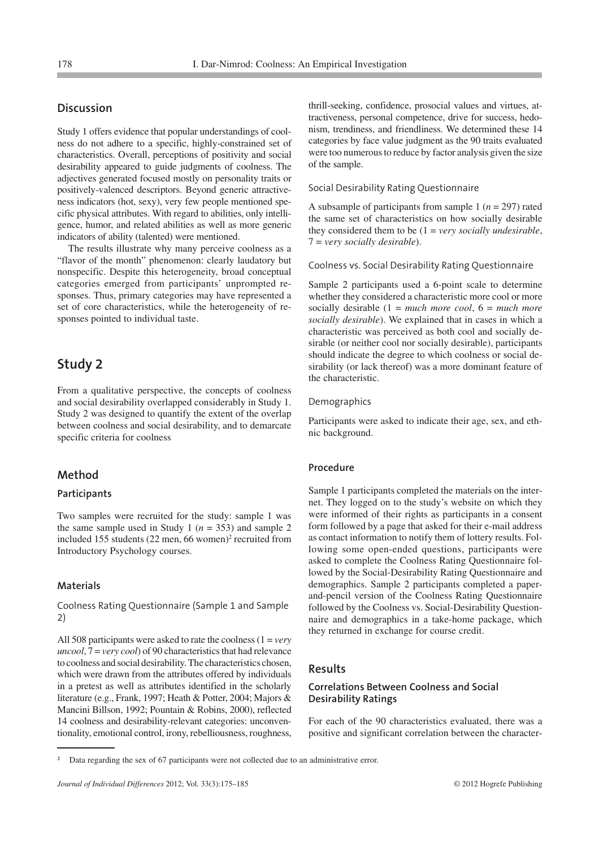# **Discussion**

Study 1 offers evidence that popular understandings of coolness do not adhere to a specific, highly-constrained set of characteristics. Overall, perceptions of positivity and social desirability appeared to guide judgments of coolness. The adjectives generated focused mostly on personality traits or positively-valenced descriptors. Beyond generic attractiveness indicators (hot, sexy), very few people mentioned specific physical attributes. With regard to abilities, only intelligence, humor, and related abilities as well as more generic indicators of ability (talented) were mentioned.

The results illustrate why many perceive coolness as a "flavor of the month" phenomenon: clearly laudatory but nonspecific. Despite this heterogeneity, broad conceptual categories emerged from participants' unprompted responses. Thus, primary categories may have represented a set of core characteristics, while the heterogeneity of responses pointed to individual taste.

# **Study 2**

From a qualitative perspective, the concepts of coolness and social desirability overlapped considerably in Study 1. Study 2 was designed to quantify the extent of the overlap between coolness and social desirability, and to demarcate specific criteria for coolness

# **Method**

#### **Participants**

Two samples were recruited for the study: sample 1 was the same sample used in Study 1 ( $n = 353$ ) and sample 2 included 155 students (22 men, 66 women)<sup>2</sup> recruited from Introductory Psychology courses.

#### **Materials**

Coolness Rating Questionnaire (Sample 1 and Sample 2)

All 508 participants were asked to rate the coolness (1 = *very uncool*,7= *very cool*) of 90 characteristics that had relevance to coolness and social desirability. The characteristics chosen, which were drawn from the attributes offered by individuals in a pretest as well as attributes identified in the scholarly literature (e.g., Frank, 1997; Heath & Potter, 2004; Majors & Mancini Billson, 1992; Pountain & Robins, 2000), reflected 14 coolness and desirability-relevant categories: unconventionality, emotional control, irony, rebelliousness, roughness, thrill-seeking, confidence, prosocial values and virtues, attractiveness, personal competence, drive for success, hedonism, trendiness, and friendliness. We determined these 14 categories by face value judgment as the 90 traits evaluated were too numerous to reduce by factor analysis given the size of the sample.

#### Social Desirability Rating Questionnaire

A subsample of participants from sample 1 (*n* = 297) rated the same set of characteristics on how socially desirable they considered them to be (1 = *very socially undesirable*, 7 = *very socially desirable*).

#### Coolness vs. Social Desirability Rating Questionnaire

Sample 2 participants used a 6-point scale to determine whether they considered a characteristic more cool or more socially desirable  $(1 = much more cool, 6 = much more$ *socially desirable*). We explained that in cases in which a characteristic was perceived as both cool and socially desirable (or neither cool nor socially desirable), participants should indicate the degree to which coolness or social desirability (or lack thereof) was a more dominant feature of the characteristic.

#### Demographics

Participants were asked to indicate their age, sex, and ethnic background.

#### **Procedure**

Sample 1 participants completed the materials on the internet. They logged on to the study's website on which they were informed of their rights as participants in a consent form followed by a page that asked for their e-mail address as contact information to notify them of lottery results. Following some open-ended questions, participants were asked to complete the Coolness Rating Questionnaire followed by the Social-Desirability Rating Questionnaire and demographics. Sample 2 participants completed a paperand-pencil version of the Coolness Rating Questionnaire followed by the Coolness vs. Social-Desirability Questionnaire and demographics in a take-home package, which they returned in exchange for course credit.

## **Results**

#### **Correlations Between Coolness and Social Desirability Ratings**

For each of the 90 characteristics evaluated, there was a positive and significant correlation between the character-

<sup>&</sup>lt;sup>2</sup> Data regarding the sex of 67 participants were not collected due to an administrative error.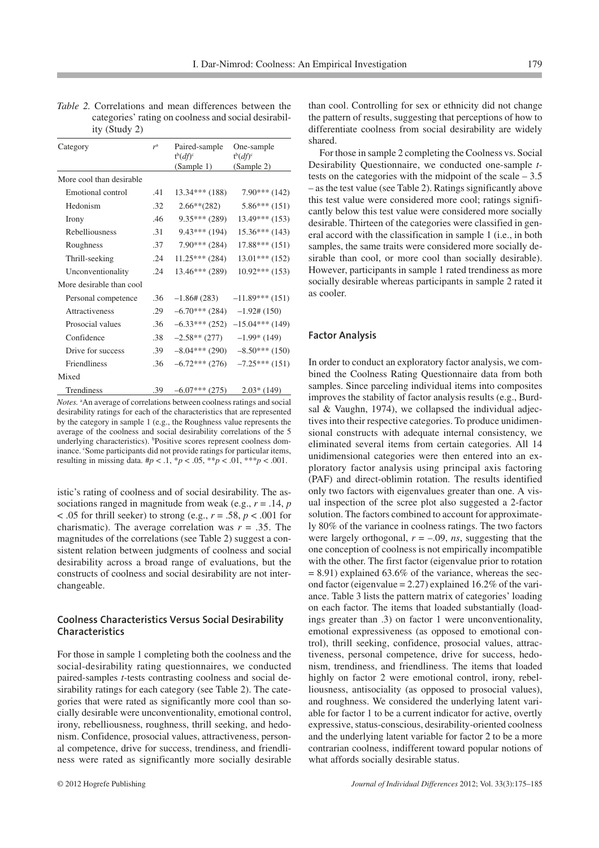| Category                 | $r^{\rm a}$ | Paired-sample<br>$t^{b}(df)^{c}$ | One-sample<br>$t^{b}(df)^{c}$ |
|--------------------------|-------------|----------------------------------|-------------------------------|
|                          |             | (Sample 1)                       | (Sample 2)                    |
| More cool than desirable |             |                                  |                               |
| Emotional control        | .41         | $13.34***$ (188)                 | $7.90***$ (142)               |
| Hedonism                 | .32         | $2.66**$ (282)                   | $5.86***(151)$                |
| Irony                    | .46         | $9.35***$ (289)                  | $13.49***$ (153)              |
| <b>Rebelliousness</b>    | .31         | $9.43***$ (194)                  | $15.36***(143)$               |
| Roughness                | .37         | $7.90***$ (284)                  | $17.88***(151)$               |
| Thrill-seeking           | .24         | $11.25***(284)$                  | $13.01***(152)$               |
| Unconventionality        | .24         | $13.46***(289)$                  | $10.92***(153)$               |
| More desirable than cool |             |                                  |                               |
| Personal competence      | .36         | $-1.86\#(283)$                   | $-11.89***(151)$              |
| <b>Attractiveness</b>    | .29         | $-6.70***$ (284)                 | $-1.92\#(150)$                |
| Prosocial values         | .36         | $-6.33***(252)$                  | $-15.04***$ (149)             |
| Confidence               | .38         | $-2.58**$ (277)                  | $-1.99*(149)$                 |
| Drive for success        | .39         | $-8.04***$ (290)                 | $-8.50***$ (150)              |
| <b>Friendliness</b>      | .36         | $-6.72***(276)$                  | $-7.25***(151)$               |
| Mixed                    |             |                                  |                               |
| <b>Trendiness</b>        | .39         | $-6.07***(275)$                  | $2.03*(149)$                  |

*Table 2.* Correlations and mean differences between the categories' rating on coolness and social desirability (Study 2)

Notes. <sup>a</sup>An average of correlations between coolness ratings and social desirability ratings for each of the characteristics that are represented by the category in sample 1 (e.g., the Roughness value represents the average of the coolness and social desirability correlations of the 5 underlying characteristics). Positive scores represent coolness dominance. Some participants did not provide ratings for particular items, resulting in missing data.  $\#p < 0.1$ ,  $^*p < 0.05$ ,  $^{**}p < 0.01$ ,  $^{***}p < 0.001$ .

istic's rating of coolness and of social desirability. The associations ranged in magnitude from weak (e.g., *r* = .14, *p*  $\leq$  .05 for thrill seeker) to strong (e.g.,  $r = .58$ ,  $p \leq .001$  for charismatic). The average correlation was  $r = .35$ . The magnitudes of the correlations (see Table 2) suggest a consistent relation between judgments of coolness and social desirability across a broad range of evaluations, but the constructs of coolness and social desirability are not interchangeable.

#### **Coolness Characteristics Versus Social Desirability Characteristics**

For those in sample 1 completing both the coolness and the social-desirability rating questionnaires, we conducted paired-samples *t-*tests contrasting coolness and social desirability ratings for each category (see Table 2). The categories that were rated as significantly more cool than socially desirable were unconventionality, emotional control, irony, rebelliousness, roughness, thrill seeking, and hedonism. Confidence, prosocial values, attractiveness, personal competence, drive for success, trendiness, and friendliness were rated as significantly more socially desirable than cool. Controlling for sex or ethnicity did not change the pattern of results, suggesting that perceptions of how to differentiate coolness from social desirability are widely shared.

For those in sample 2 completing the Coolness vs. Social Desirability Questionnaire, we conducted one-sample *t*tests on the categories with the midpoint of the scale – 3.5 – as the test value (see Table 2). Ratings significantly above this test value were considered more cool; ratings significantly below this test value were considered more socially desirable. Thirteen of the categories were classified in general accord with the classification in sample 1 (i.e., in both samples, the same traits were considered more socially desirable than cool, or more cool than socially desirable). However, participants in sample 1 rated trendiness as more socially desirable whereas participants in sample 2 rated it as cooler.

#### **Factor Analysis**

In order to conduct an exploratory factor analysis, we combined the Coolness Rating Questionnaire data from both samples. Since parceling individual items into composites improves the stability of factor analysis results (e.g., Burdsal & Vaughn, 1974), we collapsed the individual adjectives into their respective categories. To produce unidimensional constructs with adequate internal consistency, we eliminated several items from certain categories. All 14 unidimensional categories were then entered into an exploratory factor analysis using principal axis factoring (PAF) and direct-oblimin rotation. The results identified only two factors with eigenvalues greater than one. A visual inspection of the scree plot also suggested a 2-factor solution. The factors combined to account for approximately 80% of the variance in coolness ratings. The two factors were largely orthogonal,  $r = -.09$ , *ns*, suggesting that the one conception of coolness is not empirically incompatible with the other. The first factor (eigenvalue prior to rotation  $= 8.91$ ) explained 63.6% of the variance, whereas the second factor (eigenvalue  $= 2.27$ ) explained 16.2% of the variance. Table 3 lists the pattern matrix of categories' loading on each factor. The items that loaded substantially (loadings greater than .3) on factor 1 were unconventionality, emotional expressiveness (as opposed to emotional control), thrill seeking, confidence, prosocial values, attractiveness, personal competence, drive for success, hedonism, trendiness, and friendliness. The items that loaded highly on factor 2 were emotional control, irony, rebelliousness, antisociality (as opposed to prosocial values), and roughness. We considered the underlying latent variable for factor 1 to be a current indicator for active, overtly expressive, status-conscious, desirability-oriented coolness and the underlying latent variable for factor 2 to be a more contrarian coolness, indifferent toward popular notions of what affords socially desirable status.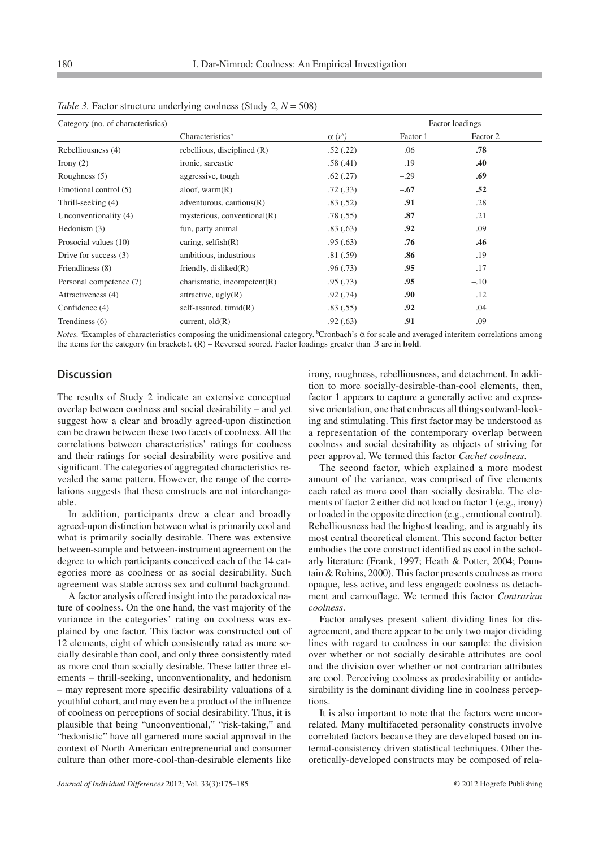| Category (no. of characteristics) | Factor loadings                |               |          |          |  |
|-----------------------------------|--------------------------------|---------------|----------|----------|--|
|                                   | Characteristics <sup>a</sup>   | $\alpha(r^b)$ | Factor 1 | Factor 2 |  |
| Rebelliousness (4)                | rebellious, disciplined $(R)$  | .52(.22)      | .06      | .78      |  |
| Irony $(2)$                       | ironic, sarcastic              | .58(.41)      | .19      | .40      |  |
| Roughness (5)                     | aggressive, tough              | .62(.27)      | $-.29$   | .69      |  |
| Emotional control (5)             | aloof, $warm(R)$               | .72(.33)      | $-.67$   | .52      |  |
| Thrill-seeking (4)                | adventurous, cautious(R)       | .83(.52)      | .91      | .28      |  |
| Unconventionality (4)             | mysterious, conventional $(R)$ | .78(.55)      | .87      | .21      |  |
| Hedonism (3)                      | fun, party animal              | .83(.63)      | .92      | .09      |  |
| Prosocial values (10)             | caring, selfish $(R)$          | .95(.63)      | .76      | $-.46$   |  |
| Drive for success (3)             | ambitious, industrious         | .81(.59)      | .86      | $-.19$   |  |
| Friendliness (8)                  | friendly, disliked $(R)$       | .96(.73)      | .95      | $-.17$   |  |
| Personal competence (7)           | charismatic, incompetent $(R)$ | .95(0.73)     | .95      | $-.10$   |  |
| Attractiveness (4)                | attractive, $ugly(R)$          | .92(.74)      | .90      | .12      |  |
| Confidence (4)                    | self-assured, timid(R)         | .83(.55)      | .92      | .04      |  |
| Trendiness (6)                    | current, $old(R)$              | .92(.63)      | .91      | .09      |  |

*Table 3.* Factor structure underlying coolness (Study 2, *N* = 508)

Notes. <sup>a</sup>Examples of characteristics composing the unidimensional category. <sup>b</sup>Cronbach's α for scale and averaged interitem correlations among the items for the category (in brackets). (R) – Reversed scored. Factor loadings greater than .3 are in **bold**.

# **Discussion**

The results of Study 2 indicate an extensive conceptual overlap between coolness and social desirability – and yet suggest how a clear and broadly agreed-upon distinction can be drawn between these two facets of coolness. All the correlations between characteristics' ratings for coolness and their ratings for social desirability were positive and significant. The categories of aggregated characteristics revealed the same pattern. However, the range of the correlations suggests that these constructs are not interchangeable.

In addition, participants drew a clear and broadly agreed-upon distinction between what is primarily cool and what is primarily socially desirable. There was extensive between-sample and between-instrument agreement on the degree to which participants conceived each of the 14 categories more as coolness or as social desirability. Such agreement was stable across sex and cultural background.

A factor analysis offered insight into the paradoxical nature of coolness. On the one hand, the vast majority of the variance in the categories' rating on coolness was explained by one factor. This factor was constructed out of 12 elements, eight of which consistently rated as more socially desirable than cool, and only three consistently rated as more cool than socially desirable. These latter three elements – thrill-seeking, unconventionality, and hedonism – may represent more specific desirability valuations of a youthful cohort, and may even be a product of the influence of coolness on perceptions of social desirability. Thus, it is plausible that being "unconventional," "risk-taking," and "hedonistic" have all garnered more social approval in the context of North American entrepreneurial and consumer culture than other more-cool-than-desirable elements like

irony, roughness, rebelliousness, and detachment. In addition to more socially-desirable-than-cool elements, then, factor 1 appears to capture a generally active and expressive orientation, one that embraces all things outward-looking and stimulating. This first factor may be understood as a representation of the contemporary overlap between coolness and social desirability as objects of striving for peer approval. We termed this factor *Cachet coolness*.

The second factor, which explained a more modest amount of the variance, was comprised of five elements each rated as more cool than socially desirable. The elements of factor 2 either did not load on factor 1 (e.g., irony) or loaded in the opposite direction (e.g., emotional control). Rebelliousness had the highest loading, and is arguably its most central theoretical element. This second factor better embodies the core construct identified as cool in the scholarly literature (Frank, 1997; Heath & Potter, 2004; Pountain & Robins, 2000). This factor presents coolness as more opaque, less active, and less engaged: coolness as detachment and camouflage. We termed this factor *Contrarian coolness*.

Factor analyses present salient dividing lines for disagreement, and there appear to be only two major dividing lines with regard to coolness in our sample: the division over whether or not socially desirable attributes are cool and the division over whether or not contrarian attributes are cool. Perceiving coolness as prodesirability or antidesirability is the dominant dividing line in coolness perceptions.

It is also important to note that the factors were uncorrelated. Many multifaceted personality constructs involve correlated factors because they are developed based on internal-consistency driven statistical techniques. Other theoretically-developed constructs may be composed of rela-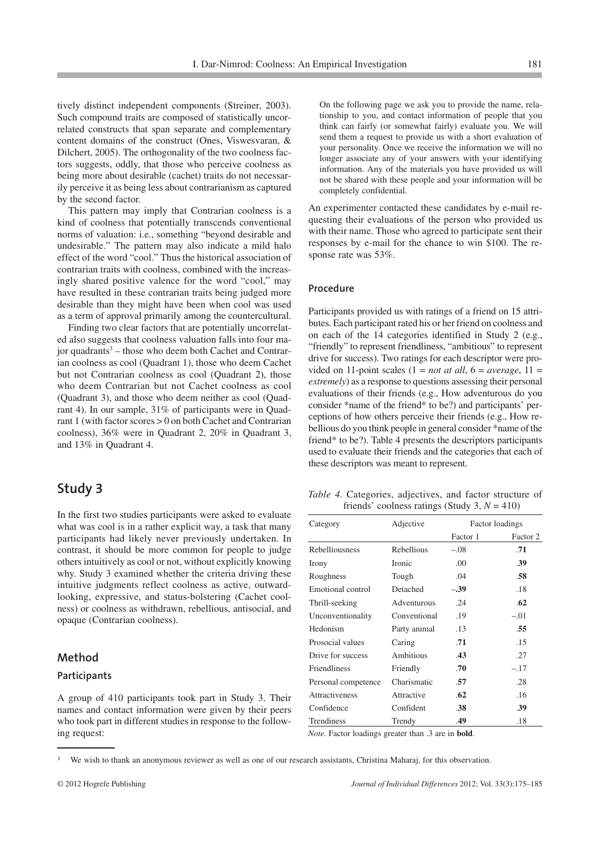tively distinct independent components (Streiner, 2003). Such compound traits are composed of statistically uncorrelated constructs that span separate and complementary content domains of the construct (Ones, Viswesvaran, & Dilchert, 2005). The orthogonality of the two coolness factors suggests, oddly, that those who perceive coolness as being more about desirable (cachet) traits do not necessarily perceive it as being less about contrarianism as captured by the second factor.

This pattern may imply that Contrarian coolness is a kind of coolness that potentially transcends conventional norms of valuation: i.e., something "beyond desirable and undesirable." The pattern may also indicate a mild halo effect of the word "cool." Thus the historical association of contrarian traits with coolness, combined with the increasingly shared positive valence for the word "cool," may have resulted in these contrarian traits being judged more desirable than they might have been when cool was used as a term of approval primarily among the countercultural.

Finding two clear factors that are potentially uncorrelated also suggests that coolness valuation falls into four major quadrants $3$  – those who deem both Cachet and Contrarian coolness as cool (Quadrant 1), those who deem Cachet but not Contrarian coolness as cool (Quadrant 2), those who deem Contrarian but not Cachet coolness as cool (Quadrant 3), and those who deem neither as cool (Quadrant 4). In our sample, 31% of participants were in Quadrant 1 (with factor scores > 0 on both Cachet and Contrarian coolness), 36% were in Quadrant 2, 20% in Quadrant 3, and 13% in Quadrant 4.

# **Study 3**

In the first two studies participants were asked to evaluate what was cool is in a rather explicit way, a task that many participants had likely never previously undertaken. In contrast, it should be more common for people to judge others intuitively as cool or not, without explicitly knowing why. Study 3 examined whether the criteria driving these intuitive judgments reflect coolness as active, outwardlooking, expressive, and status-bolstering (Cachet coolness) or coolness as withdrawn, rebellious, antisocial, and opaque (Contrarian coolness).

## **Method**

#### **Participants**

A group of 410 participants took part in Study 3. Their names and contact information were given by their peers who took part in different studies in response to the following request:

On the following page we ask you to provide the name, relationship to you, and contact information of people that you think can fairly (or somewhat fairly) evaluate you. We will send them a request to provide us with a short evaluation of your personality. Once we receive the information we will no longer associate any of your answers with your identifying information. Any of the materials you have provided us will not be shared with these people and your information will be completely confidential.

An experimenter contacted these candidates by e-mail requesting their evaluations of the person who provided us with their name. Those who agreed to participate sent their responses by e-mail for the chance to win \$100. The response rate was 53%.

## **Procedure**

Participants provided us with ratings of a friend on 15 attributes. Each participant rated his or her friend on coolness and on each of the 14 categories identified in Study 2 (e.g., "friendly" to represent friendliness, "ambitious" to represent drive for success). Two ratings for each descriptor were provided on 11-point scales  $(1 = not at all, 6 = average, 11 =$ *extremely*) as a response to questions assessing their personal evaluations of their friends (e.g., How adventurous do you consider \*name of the friend\* to be?) and participants' perceptions of how others perceive their friends (e.g., How rebellious do you think people in general consider \*name of the friend<sup>\*</sup> to be?). Table 4 presents the descriptors participants used to evaluate their friends and the categories that each of these descriptors was meant to represent.

*Table 4.* Categories, adjectives, and factor structure of friends' coolness ratings (Study 3,  $N = 410$ )

| Category            | Adjective    | Factor loadings |          |
|---------------------|--------------|-----------------|----------|
|                     |              | Factor 1        | Factor 2 |
| Rebelliousness      | Rebellious   | $-.08$          | .71      |
| Irony               | Ironic       | .00             | .39      |
| Roughness           | Tough        | .04             | .58      |
| Emotional control   | Detached     | $-.39$          | .18      |
| Thrill-seeking      | Adventurous  | .24             | .62      |
| Unconventionality   | Conventional | .19             | $-.01$   |
| Hedonism            | Party animal | .13             | .55      |
| Prosocial values    | Caring       | .71             | .15      |
| Drive for success   | Ambitious    | .43             | .27      |
| <b>Friendliness</b> | Friendly     | .70             | $-.17$   |
| Personal competence | Charismatic  | .57             | .28      |
| Attractiveness      | Attractive   | .62             | .16      |
| Confidence          | Confident    | .38             | .39      |
| Trendiness          | Trendy       | .49             | .18      |

*Note.* Factor loadings greater than .3 are in **bold**.

We wish to thank an anonymous reviewer as well as one of our research assistants, Christina Maharaj, for this observation.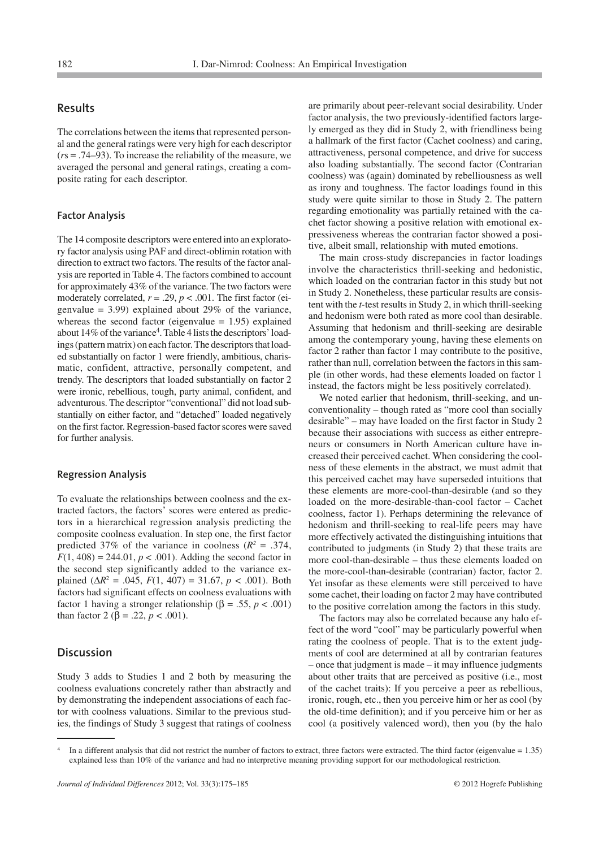# **Results**

The correlations between the items that represented personal and the general ratings were very high for each descriptor (*r*s = .74–93). To increase the reliability of the measure, we averaged the personal and general ratings, creating a composite rating for each descriptor.

#### **Factor Analysis**

The 14 composite descriptors were entered into an exploratory factor analysis using PAF and direct-oblimin rotation with direction to extract two factors. The results of the factor analysis are reported in Table 4. The factors combined to account for approximately 43% of the variance. The two factors were moderately correlated,  $r = .29$ ,  $p < .001$ . The first factor (eigenvalue  $= 3.99$ ) explained about 29% of the variance, whereas the second factor (eigenvalue  $= 1.95$ ) explained about 14% of the variance<sup>4</sup>. Table 4 lists the descriptors' loadings (pattern matrix) on each factor. The descriptors that loaded substantially on factor 1 were friendly, ambitious, charismatic, confident, attractive, personally competent, and trendy. The descriptors that loaded substantially on factor 2 were ironic, rebellious, tough, party animal, confident, and adventurous. The descriptor "conventional" did not load substantially on either factor, and "detached" loaded negatively on the first factor. Regression-based factor scores were saved for further analysis.

#### **Regression Analysis**

To evaluate the relationships between coolness and the extracted factors, the factors' scores were entered as predictors in a hierarchical regression analysis predicting the composite coolness evaluation. In step one, the first factor predicted 37% of the variance in coolness  $(R^2 = .374, )$  $F(1, 408) = 244.01, p < .001$ . Adding the second factor in the second step significantly added to the variance explained ( $\Delta R^2$  = .045,  $F(1, 407)$  = 31.67,  $p < .001$ ). Both factors had significant effects on coolness evaluations with factor 1 having a stronger relationship ( $\beta = .55$ ,  $p < .001$ ) than factor 2 ( $\beta$  = .22, *p* < .001).

#### **Discussion**

Study 3 adds to Studies 1 and 2 both by measuring the coolness evaluations concretely rather than abstractly and by demonstrating the independent associations of each factor with coolness valuations. Similar to the previous studies, the findings of Study 3 suggest that ratings of coolness are primarily about peer-relevant social desirability. Under factor analysis, the two previously-identified factors largely emerged as they did in Study 2, with friendliness being a hallmark of the first factor (Cachet coolness) and caring, attractiveness, personal competence, and drive for success also loading substantially. The second factor (Contrarian coolness) was (again) dominated by rebelliousness as well as irony and toughness. The factor loadings found in this study were quite similar to those in Study 2. The pattern regarding emotionality was partially retained with the cachet factor showing a positive relation with emotional expressiveness whereas the contrarian factor showed a positive, albeit small, relationship with muted emotions.

The main cross-study discrepancies in factor loadings involve the characteristics thrill-seeking and hedonistic, which loaded on the contrarian factor in this study but not in Study 2. Nonetheless, these particular results are consistent with the *t-*test results in Study 2, in which thrill-seeking and hedonism were both rated as more cool than desirable. Assuming that hedonism and thrill-seeking are desirable among the contemporary young, having these elements on factor 2 rather than factor 1 may contribute to the positive, rather than null, correlation between the factors in this sample (in other words, had these elements loaded on factor 1 instead, the factors might be less positively correlated).

We noted earlier that hedonism, thrill-seeking, and unconventionality – though rated as "more cool than socially desirable" – may have loaded on the first factor in Study 2 because their associations with success as either entrepreneurs or consumers in North American culture have increased their perceived cachet. When considering the coolness of these elements in the abstract, we must admit that this perceived cachet may have superseded intuitions that these elements are more-cool-than-desirable (and so they loaded on the more-desirable-than-cool factor – Cachet coolness, factor 1). Perhaps determining the relevance of hedonism and thrill-seeking to real-life peers may have more effectively activated the distinguishing intuitions that contributed to judgments (in Study 2) that these traits are more cool-than-desirable – thus these elements loaded on the more-cool-than-desirable (contrarian) factor, factor 2. Yet insofar as these elements were still perceived to have some cachet, their loading on factor 2 may have contributed to the positive correlation among the factors in this study.

The factors may also be correlated because any halo effect of the word "cool" may be particularly powerful when rating the coolness of people. That is to the extent judgments of cool are determined at all by contrarian features – once that judgment is made – it may influence judgments about other traits that are perceived as positive (i.e., most of the cachet traits): If you perceive a peer as rebellious, ironic, rough, etc., then you perceive him or her as cool (by the old-time definition); and if you perceive him or her as cool (a positively valenced word), then you (by the halo

In a different analysis that did not restrict the number of factors to extract, three factors were extracted. The third factor (eigenvalue = 1.35) explained less than 10% of the variance and had no interpretive meaning providing support for our methodological restriction.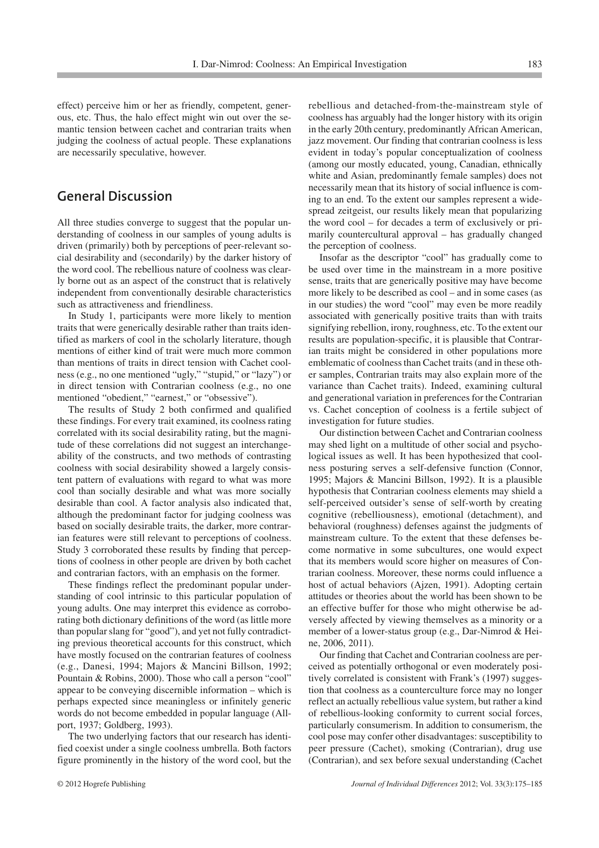effect) perceive him or her as friendly, competent, generous, etc. Thus, the halo effect might win out over the semantic tension between cachet and contrarian traits when judging the coolness of actual people. These explanations are necessarily speculative, however.

# **General Discussion**

All three studies converge to suggest that the popular understanding of coolness in our samples of young adults is driven (primarily) both by perceptions of peer-relevant social desirability and (secondarily) by the darker history of the word cool. The rebellious nature of coolness was clearly borne out as an aspect of the construct that is relatively independent from conventionally desirable characteristics such as attractiveness and friendliness.

In Study 1, participants were more likely to mention traits that were generically desirable rather than traits identified as markers of cool in the scholarly literature, though mentions of either kind of trait were much more common than mentions of traits in direct tension with Cachet coolness (e.g., no one mentioned "ugly," "stupid," or "lazy") or in direct tension with Contrarian coolness (e.g., no one mentioned "obedient," "earnest," or "obsessive").

The results of Study 2 both confirmed and qualified these findings. For every trait examined, its coolness rating correlated with its social desirability rating, but the magnitude of these correlations did not suggest an interchangeability of the constructs, and two methods of contrasting coolness with social desirability showed a largely consistent pattern of evaluations with regard to what was more cool than socially desirable and what was more socially desirable than cool. A factor analysis also indicated that, although the predominant factor for judging coolness was based on socially desirable traits, the darker, more contrarian features were still relevant to perceptions of coolness. Study 3 corroborated these results by finding that perceptions of coolness in other people are driven by both cachet and contrarian factors, with an emphasis on the former.

These findings reflect the predominant popular understanding of cool intrinsic to this particular population of young adults. One may interpret this evidence as corroborating both dictionary definitions of the word (as little more than popular slang for "good"), and yet not fully contradicting previous theoretical accounts for this construct, which have mostly focused on the contrarian features of coolness (e.g., Danesi, 1994; Majors & Mancini Billson, 1992; Pountain & Robins, 2000). Those who call a person "cool" appear to be conveying discernible information – which is perhaps expected since meaningless or infinitely generic words do not become embedded in popular language (Allport, 1937; Goldberg, 1993).

The two underlying factors that our research has identified coexist under a single coolness umbrella. Both factors figure prominently in the history of the word cool, but the rebellious and detached-from-the-mainstream style of coolness has arguably had the longer history with its origin in the early 20th century, predominantly African American, jazz movement. Our finding that contrarian coolness is less evident in today's popular conceptualization of coolness (among our mostly educated, young, Canadian, ethnically white and Asian, predominantly female samples) does not necessarily mean that its history of social influence is coming to an end. To the extent our samples represent a widespread zeitgeist, our results likely mean that popularizing the word cool – for decades a term of exclusively or primarily countercultural approval – has gradually changed the perception of coolness.

Insofar as the descriptor "cool" has gradually come to be used over time in the mainstream in a more positive sense, traits that are generically positive may have become more likely to be described as cool – and in some cases (as in our studies) the word "cool" may even be more readily associated with generically positive traits than with traits signifying rebellion, irony, roughness, etc. To the extent our results are population-specific, it is plausible that Contrarian traits might be considered in other populations more emblematic of coolness than Cachet traits (and in these other samples, Contrarian traits may also explain more of the variance than Cachet traits). Indeed, examining cultural and generational variation in preferences for the Contrarian vs. Cachet conception of coolness is a fertile subject of investigation for future studies.

Our distinction between Cachet and Contrarian coolness may shed light on a multitude of other social and psychological issues as well. It has been hypothesized that coolness posturing serves a self-defensive function (Connor, 1995; Majors & Mancini Billson, 1992). It is a plausible hypothesis that Contrarian coolness elements may shield a self-perceived outsider's sense of self-worth by creating cognitive (rebelliousness), emotional (detachment), and behavioral (roughness) defenses against the judgments of mainstream culture. To the extent that these defenses become normative in some subcultures, one would expect that its members would score higher on measures of Contrarian coolness. Moreover, these norms could influence a host of actual behaviors (Ajzen, 1991). Adopting certain attitudes or theories about the world has been shown to be an effective buffer for those who might otherwise be adversely affected by viewing themselves as a minority or a member of a lower-status group (e.g., Dar-Nimrod & Heine, 2006, 2011).

Our finding that Cachet and Contrarian coolness are perceived as potentially orthogonal or even moderately positively correlated is consistent with Frank's (1997) suggestion that coolness as a counterculture force may no longer reflect an actually rebellious value system, but rather a kind of rebellious-looking conformity to current social forces, particularly consumerism. In addition to consumerism, the cool pose may confer other disadvantages: susceptibility to peer pressure (Cachet), smoking (Contrarian), drug use (Contrarian), and sex before sexual understanding (Cachet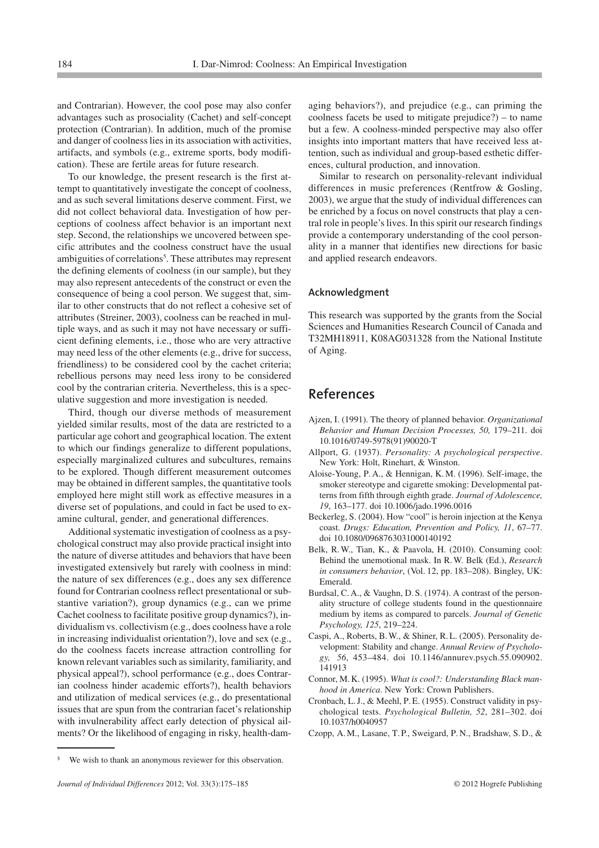and Contrarian). However, the cool pose may also confer advantages such as prosociality (Cachet) and self-concept protection (Contrarian). In addition, much of the promise and danger of coolness lies in its association with activities, artifacts, and symbols (e.g., extreme sports, body modification). These are fertile areas for future research.

To our knowledge, the present research is the first attempt to quantitatively investigate the concept of coolness, and as such several limitations deserve comment. First, we did not collect behavioral data. Investigation of how perceptions of coolness affect behavior is an important next step. Second, the relationships we uncovered between specific attributes and the coolness construct have the usual ambiguities of correlations<sup>5</sup>. These attributes may represent the defining elements of coolness (in our sample), but they may also represent antecedents of the construct or even the consequence of being a cool person. We suggest that, similar to other constructs that do not reflect a cohesive set of attributes (Streiner, 2003), coolness can be reached in multiple ways, and as such it may not have necessary or sufficient defining elements, i.e., those who are very attractive may need less of the other elements (e.g., drive for success, friendliness) to be considered cool by the cachet criteria; rebellious persons may need less irony to be considered cool by the contrarian criteria. Nevertheless, this is a speculative suggestion and more investigation is needed.

Third, though our diverse methods of measurement yielded similar results, most of the data are restricted to a particular age cohort and geographical location. The extent to which our findings generalize to different populations, especially marginalized cultures and subcultures, remains to be explored. Though different measurement outcomes may be obtained in different samples, the quantitative tools employed here might still work as effective measures in a diverse set of populations, and could in fact be used to examine cultural, gender, and generational differences.

Additional systematic investigation of coolness as a psychological construct may also provide practical insight into the nature of diverse attitudes and behaviors that have been investigated extensively but rarely with coolness in mind: the nature of sex differences (e.g., does any sex difference found for Contrarian coolness reflect presentational or substantive variation?), group dynamics (e.g., can we prime Cachet coolness to facilitate positive group dynamics?), individualism vs. collectivism (e.g., does coolness have a role in increasing individualist orientation?), love and sex (e.g., do the coolness facets increase attraction controlling for known relevant variables such as similarity, familiarity, and physical appeal?), school performance (e.g., does Contrarian coolness hinder academic efforts?), health behaviors and utilization of medical services (e.g., do presentational issues that are spun from the contrarian facet's relationship with invulnerability affect early detection of physical ailments? Or the likelihood of engaging in risky, health-damaging behaviors?), and prejudice (e.g., can priming the coolness facets be used to mitigate prejudice?) – to name but a few. A coolness-minded perspective may also offer insights into important matters that have received less attention, such as individual and group-based esthetic differences, cultural production, and innovation.

Similar to research on personality-relevant individual differences in music preferences (Rentfrow & Gosling, 2003), we argue that the study of individual differences can be enriched by a focus on novel constructs that play a central role in people's lives. In this spirit our research findings provide a contemporary understanding of the cool personality in a manner that identifies new directions for basic and applied research endeavors.

#### **Acknowledgment**

This research was supported by the grants from the Social Sciences and Humanities Research Council of Canada and T32MH18911, K08AG031328 from the National Institute of Aging.

# **References**

- Ajzen, I. (1991). The theory of planned behavior. *Organizational Behavior and Human Decision Processes, 50,* 179–211. doi 10.1016/0749-5978(91)90020-T
- Allport, G. (1937). *Personality: A psychological perspective*. New York: Holt, Rinehart, & Winston.
- Aloise-Young, P. A., & Hennigan, K. M. (1996). Self-image, the smoker stereotype and cigarette smoking: Developmental patterns from fifth through eighth grade. *Journal of Adolescence, 19*, 163–177. doi 10.1006/jado.1996.0016
- Beckerleg, S. (2004). How "cool" is heroin injection at the Kenya coast. *Drugs: Education, Prevention and Policy, 11*, 67–77. doi 10.1080/0968763031000140192
- Belk, R. W., Tian, K., & Paavola, H. (2010). Consuming cool: Behind the unemotional mask. In R. W. Belk (Ed.), *Research in consumers behavior*, (Vol. 12, pp. 183–208). Bingley, UK: Emerald.
- Burdsal, C. A., & Vaughn, D. S. (1974). A contrast of the personality structure of college students found in the questionnaire medium by items as compared to parcels. *Journal of Genetic Psychology, 125*, 219–224.
- Caspi, A., Roberts, B. W., & Shiner, R. L. (2005). Personality development: Stability and change. *Annual Review of Psychology, 56*, 453–484. doi 10.1146/annurev.psych.55.090902. 141913
- Connor, M. K. (1995). *What is cool?: Understanding Black manhood in America*. New York: Crown Publishers.
- Cronbach, L. J., & Meehl, P. E. (1955). Construct validity in psychological tests. *Psychological Bulletin, 52*, 281–302. doi 10.1037/h0040957
- Czopp, A. M., Lasane, T. P., Sweigard, P. N., Bradshaw, S. D., &

<sup>-</sup>We wish to thank an anonymous reviewer for this observation.